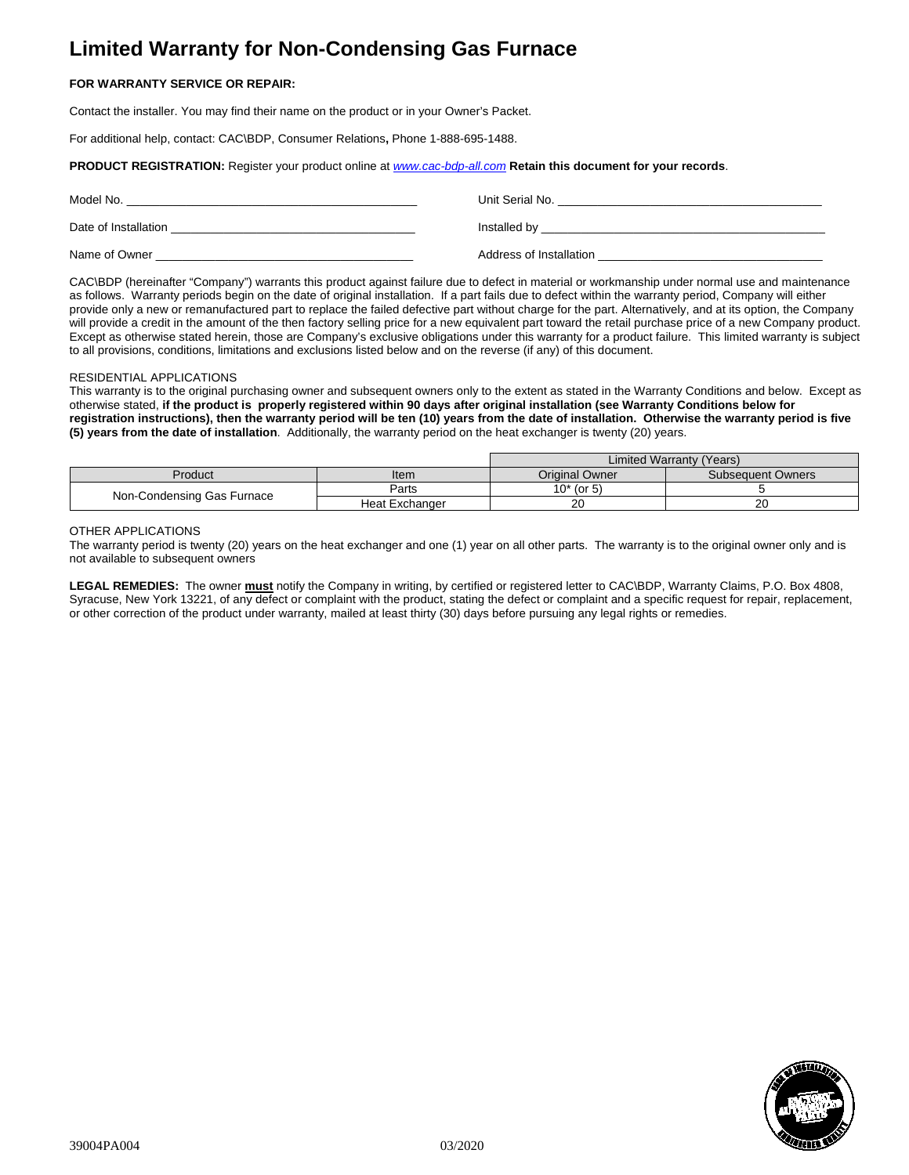# **Limited Warranty for Non-Condensing Gas Furnace**

# **FOR WARRANTY SERVICE OR REPAIR:**

Contact the installer. You may find their name on the product or in your Owner's Packet.

For additional help, contact: CAC\BDP, Consumer Relations**,** Phone 1-888-695-1488.

## **PRODUCT REGISTRATION:** Register your product online at *[www.cac-bdp-all.com](http://www.cac-bdp-all.com/)* **Retain this document for your records**.

| Model No.            | Unit Serial No.         |
|----------------------|-------------------------|
| Date of Installation | Installed by            |
| Name of Owner        | Address of Installation |

CAC\BDP (hereinafter "Company") warrants this product against failure due to defect in material or workmanship under normal use and maintenance as follows. Warranty periods begin on the date of original installation. If a part fails due to defect within the warranty period, Company will either provide only a new or remanufactured part to replace the failed defective part without charge for the part. Alternatively, and at its option, the Company will provide a credit in the amount of the then factory selling price for a new equivalent part toward the retail purchase price of a new Company product. Except as otherwise stated herein, those are Company's exclusive obligations under this warranty for a product failure. This limited warranty is subject to all provisions, conditions, limitations and exclusions listed below and on the reverse (if any) of this document.

#### RESIDENTIAL APPLICATIONS

This warranty is to the original purchasing owner and subsequent owners only to the extent as stated in the Warranty Conditions and below. Except as otherwise stated, **if the product is properly registered within 90 days after original installation (see Warranty Conditions below for registration instructions), then the warranty period will be ten (10) years from the date of installation. Otherwise the warranty period is five (5) years from the date of installation**. Additionally, the warranty period on the heat exchanger is twenty (20) years.

|                            |                | Limited Warranty (Years) |                          |
|----------------------------|----------------|--------------------------|--------------------------|
| Product                    | Item           | <b>Original Owner</b>    | <b>Subsequent Owners</b> |
| Non-Condensing Gas Furnace | Parts          | $10*$ (or 5)             |                          |
|                            | Heat Exchanger | 20                       | 20                       |

## OTHER APPLICATIONS

The warranty period is twenty (20) years on the heat exchanger and one (1) year on all other parts. The warranty is to the original owner only and is not available to subsequent owners

**LEGAL REMEDIES:** The owner **must** notify the Company in writing, by certified or registered letter to CAC\BDP, Warranty Claims, P.O. Box 4808, Syracuse, New York 13221, of any defect or complaint with the product, stating the defect or complaint and a specific request for repair, replacement, or other correction of the product under warranty, mailed at least thirty (30) days before pursuing any legal rights or remedies.